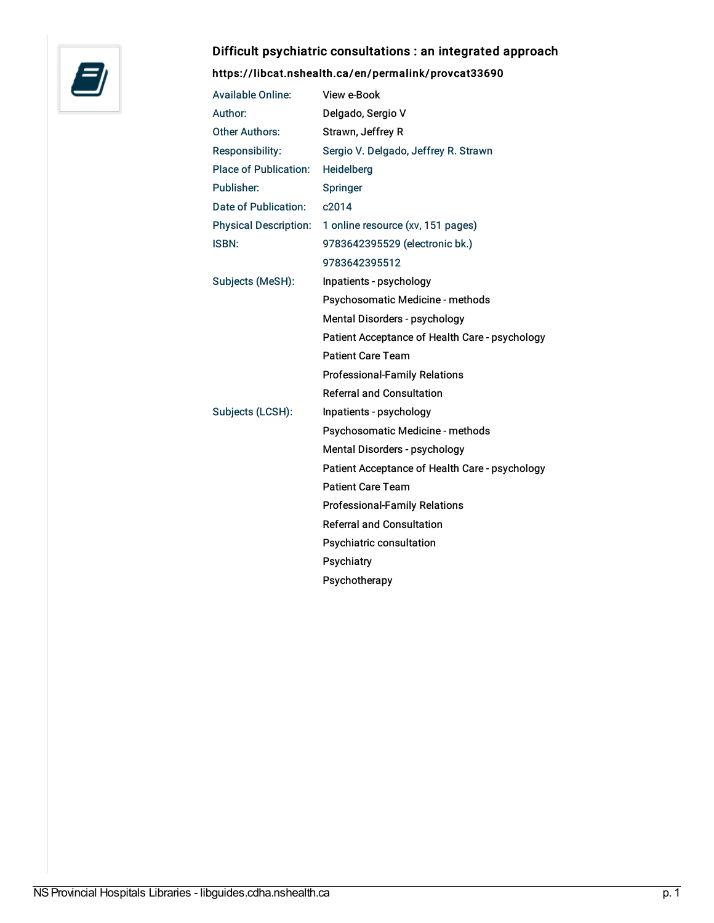

## Difficult psychiatric consultations : an integrated approach

## <https://libcat.nshealth.ca/en/permalink/provcat33690>

| <b>Available Online:</b>     | View e-Book                                    |
|------------------------------|------------------------------------------------|
| Author:                      | Delgado, Sergio V                              |
| <b>Other Authors:</b>        | Strawn, Jeffrey R                              |
| Responsibility:              | Sergio V. Delgado, Jeffrey R. Strawn           |
| <b>Place of Publication:</b> | Heidelberg                                     |
| Publisher:                   | Springer                                       |
| Date of Publication:         | c2014                                          |
| <b>Physical Description:</b> | 1 online resource (xv, 151 pages)              |
| <b>ISBN:</b>                 | 9783642395529 (electronic bk.)                 |
|                              | 9783642395512                                  |
| Subjects (MeSH):             | Inpatients - psychology                        |
|                              | Psychosomatic Medicine - methods               |
|                              | Mental Disorders - psychology                  |
|                              | Patient Acceptance of Health Care - psychology |
|                              | <b>Patient Care Team</b>                       |
|                              | <b>Professional-Family Relations</b>           |
|                              | <b>Referral and Consultation</b>               |
| Subjects (LCSH):             | Inpatients - psychology                        |
|                              | Psychosomatic Medicine - methods               |
|                              | Mental Disorders - psychology                  |
|                              | Patient Acceptance of Health Care - psychology |
|                              | <b>Patient Care Team</b>                       |
|                              | <b>Professional-Family Relations</b>           |
|                              | <b>Referral and Consultation</b>               |
|                              | Psychiatric consultation                       |
|                              | Psychiatry                                     |
|                              | Psychotherapy                                  |
|                              |                                                |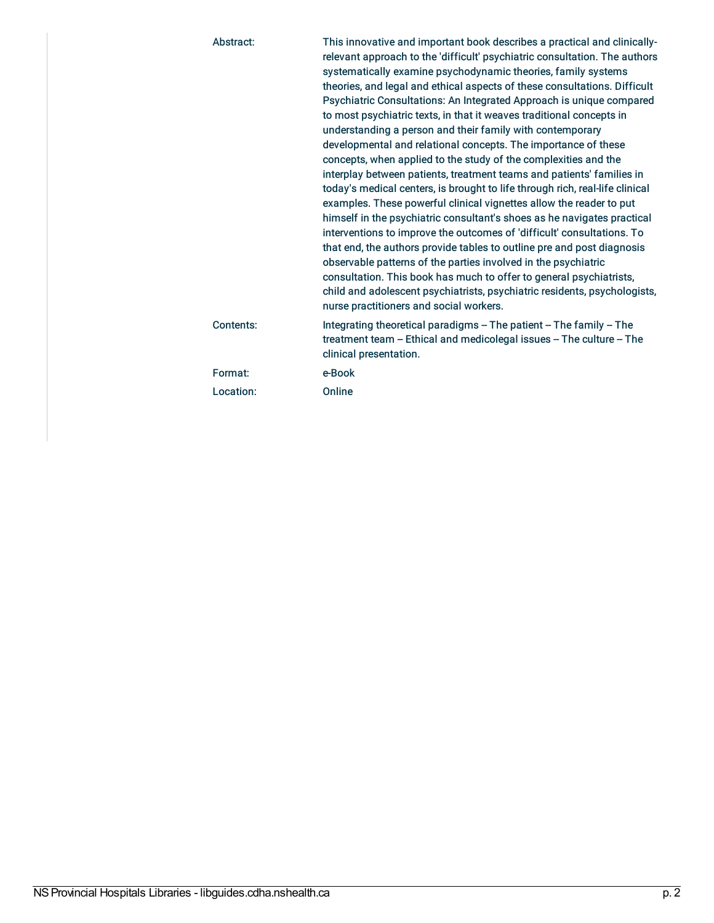| Abstract: | This innovative and important book describes a practical and clinically-<br>relevant approach to the 'difficult' psychiatric consultation. The authors<br>systematically examine psychodynamic theories, family systems<br>theories, and legal and ethical aspects of these consultations. Difficult<br>Psychiatric Consultations: An Integrated Approach is unique compared<br>to most psychiatric texts, in that it weaves traditional concepts in<br>understanding a person and their family with contemporary<br>developmental and relational concepts. The importance of these<br>concepts, when applied to the study of the complexities and the<br>interplay between patients, treatment teams and patients' families in<br>today's medical centers, is brought to life through rich, real-life clinical<br>examples. These powerful clinical vignettes allow the reader to put<br>himself in the psychiatric consultant's shoes as he navigates practical<br>interventions to improve the outcomes of 'difficult' consultations. To<br>that end, the authors provide tables to outline pre and post diagnosis<br>observable patterns of the parties involved in the psychiatric<br>consultation. This book has much to offer to general psychiatrists,<br>child and adolescent psychiatrists, psychiatric residents, psychologists,<br>nurse practitioners and social workers. |
|-----------|----------------------------------------------------------------------------------------------------------------------------------------------------------------------------------------------------------------------------------------------------------------------------------------------------------------------------------------------------------------------------------------------------------------------------------------------------------------------------------------------------------------------------------------------------------------------------------------------------------------------------------------------------------------------------------------------------------------------------------------------------------------------------------------------------------------------------------------------------------------------------------------------------------------------------------------------------------------------------------------------------------------------------------------------------------------------------------------------------------------------------------------------------------------------------------------------------------------------------------------------------------------------------------------------------------------------------------------------------------------------------------------|
| Contents: | Integrating theoretical paradigms - The patient - The family - The<br>treatment team - Ethical and medicolegal issues - The culture - The<br>clinical presentation.                                                                                                                                                                                                                                                                                                                                                                                                                                                                                                                                                                                                                                                                                                                                                                                                                                                                                                                                                                                                                                                                                                                                                                                                                    |
| Format:   | e-Book                                                                                                                                                                                                                                                                                                                                                                                                                                                                                                                                                                                                                                                                                                                                                                                                                                                                                                                                                                                                                                                                                                                                                                                                                                                                                                                                                                                 |
| Location: | Online                                                                                                                                                                                                                                                                                                                                                                                                                                                                                                                                                                                                                                                                                                                                                                                                                                                                                                                                                                                                                                                                                                                                                                                                                                                                                                                                                                                 |
|           |                                                                                                                                                                                                                                                                                                                                                                                                                                                                                                                                                                                                                                                                                                                                                                                                                                                                                                                                                                                                                                                                                                                                                                                                                                                                                                                                                                                        |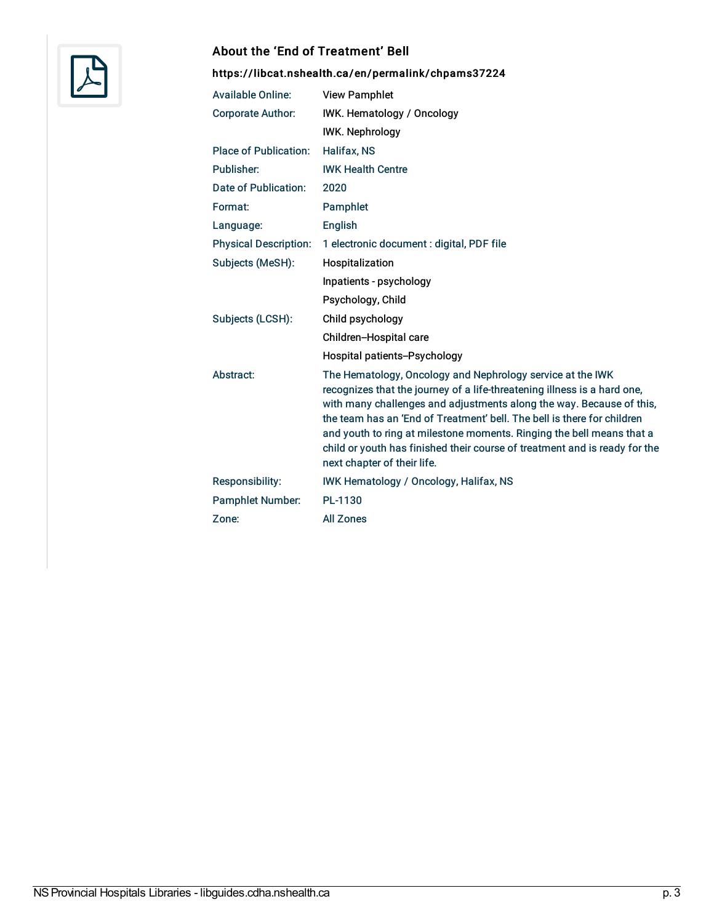

#### About the 'End of Treatment' Bell

## <https://libcat.nshealth.ca/en/permalink/chpams37224>

| <b>Available Online:</b>     | <b>View Pamphlet</b>                                                                                                                                                                                                                                                                                                                                                                                                                                                            |
|------------------------------|---------------------------------------------------------------------------------------------------------------------------------------------------------------------------------------------------------------------------------------------------------------------------------------------------------------------------------------------------------------------------------------------------------------------------------------------------------------------------------|
| <b>Corporate Author:</b>     | IWK. Hematology / Oncology                                                                                                                                                                                                                                                                                                                                                                                                                                                      |
|                              | <b>IWK. Nephrology</b>                                                                                                                                                                                                                                                                                                                                                                                                                                                          |
| <b>Place of Publication:</b> | Halifax, NS                                                                                                                                                                                                                                                                                                                                                                                                                                                                     |
| Publisher:                   | <b>IWK Health Centre</b>                                                                                                                                                                                                                                                                                                                                                                                                                                                        |
| Date of Publication:         | 2020                                                                                                                                                                                                                                                                                                                                                                                                                                                                            |
| Format:                      | Pamphlet                                                                                                                                                                                                                                                                                                                                                                                                                                                                        |
| Language:                    | English                                                                                                                                                                                                                                                                                                                                                                                                                                                                         |
| <b>Physical Description:</b> | 1 electronic document : digital, PDF file                                                                                                                                                                                                                                                                                                                                                                                                                                       |
| Subjects (MeSH):             | Hospitalization                                                                                                                                                                                                                                                                                                                                                                                                                                                                 |
|                              | Inpatients - psychology                                                                                                                                                                                                                                                                                                                                                                                                                                                         |
|                              | Psychology, Child                                                                                                                                                                                                                                                                                                                                                                                                                                                               |
| Subjects (LCSH):             | Child psychology                                                                                                                                                                                                                                                                                                                                                                                                                                                                |
|                              | Children-Hospital care                                                                                                                                                                                                                                                                                                                                                                                                                                                          |
|                              | Hospital patients--Psychology                                                                                                                                                                                                                                                                                                                                                                                                                                                   |
| Abstract:                    | The Hematology, Oncology and Nephrology service at the IWK<br>recognizes that the journey of a life-threatening illness is a hard one,<br>with many challenges and adjustments along the way. Because of this,<br>the team has an 'End of Treatment' bell. The bell is there for children<br>and youth to ring at milestone moments. Ringing the bell means that a<br>child or youth has finished their course of treatment and is ready for the<br>next chapter of their life. |
| <b>Responsibility:</b>       | <b>IWK Hematology / Oncology, Halifax, NS</b>                                                                                                                                                                                                                                                                                                                                                                                                                                   |
| <b>Pamphlet Number:</b>      | PL-1130                                                                                                                                                                                                                                                                                                                                                                                                                                                                         |
| Zone:                        | <b>All Zones</b>                                                                                                                                                                                                                                                                                                                                                                                                                                                                |